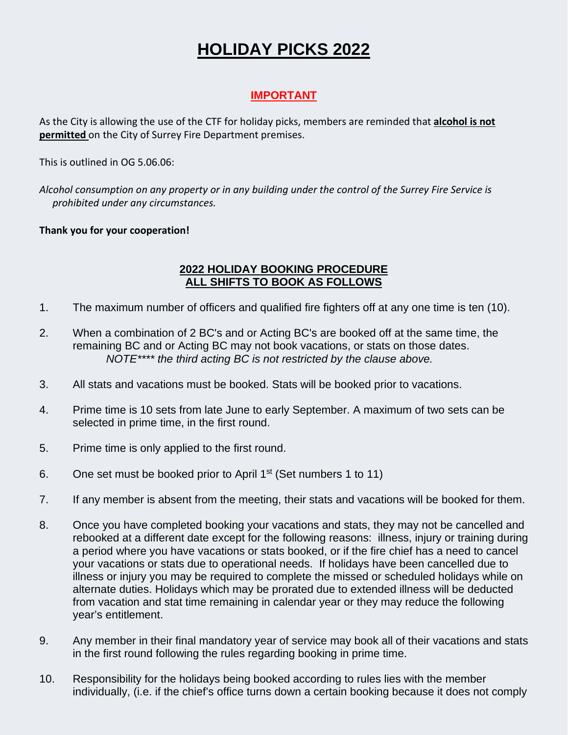## **HOLIDAY PICKS 2022**

## **IMPORTANT**

As the City is allowing the use of the CTF for holiday picks, members are reminded that **alcohol is not permitted** on the City of Surrey Fire Department premises.

This is outlined in OG 5.06.06:

*Alcohol consumption on any property or in any building under the control of the Surrey Fire Service is prohibited under any circumstances.*

## **Thank you for your cooperation!**

## **2022 HOLIDAY BOOKING PROCEDURE ALL SHIFTS TO BOOK AS FOLLOWS**

- 1. The maximum number of officers and qualified fire fighters off at any one time is ten (10).
- 2. When a combination of 2 BC's and or Acting BC's are booked off at the same time, the remaining BC and or Acting BC may not book vacations, or stats on those dates. *NOTE\*\*\*\* the third acting BC is not restricted by the clause above.*
- 3. All stats and vacations must be booked. Stats will be booked prior to vacations.
- 4. Prime time is 10 sets from late June to early September. A maximum of two sets can be selected in prime time, in the first round.
- 5. Prime time is only applied to the first round.
- 6. One set must be booked prior to April  $1<sup>st</sup>$  (Set numbers 1 to 11)
- 7. If any member is absent from the meeting, their stats and vacations will be booked for them.
- 8. Once you have completed booking your vacations and stats, they may not be cancelled and rebooked at a different date except for the following reasons: illness, injury or training during a period where you have vacations or stats booked, or if the fire chief has a need to cancel your vacations or stats due to operational needs. If holidays have been cancelled due to illness or injury you may be required to complete the missed or scheduled holidays while on alternate duties. Holidays which may be prorated due to extended illness will be deducted from vacation and stat time remaining in calendar year or they may reduce the following year's entitlement.
- 9. Any member in their final mandatory year of service may book all of their vacations and stats in the first round following the rules regarding booking in prime time.
- 10. Responsibility for the holidays being booked according to rules lies with the member individually, (i.e. if the chief's office turns down a certain booking because it does not comply